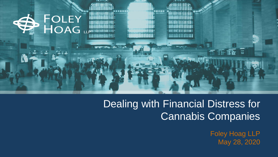

# Dealing with Financial Distress for Cannabis Companies

Foley Hoag LLP May 28, 2020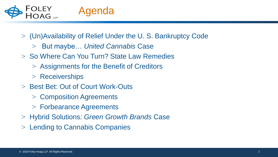

- > (Un)Availability of Relief Under the U. S. Bankruptcy Code
	- > But maybe… *United Cannabis* Case
- > So Where Can You Turn? State Law Remedies
	- > Assignments for the Benefit of Creditors
	- > Receiverships
- > Best Bet: Out of Court Work-Outs
	- > Composition Agreements
	- > Forbearance Agreements
- > Hybrid Solutions*: Green Growth Brands* Case
- > Lending to Cannabis Companies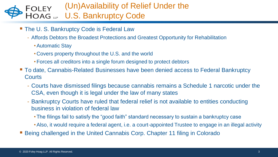#### (Un)Availability of Relief Under the **FOLEY** HOAG LLP U.S. Bankruptcy Code

- **The U. S. Bankruptcy Code is Federal Law** 
	- Affords Debtors the Broadest Protections and Greatest Opportunity for Rehabilitation
		- •Automatic Stay
		- Covers property throughout the U.S. and the world
		- Forces all creditors into a single forum designed to protect debtors
- To date, Cannabis-Related Businesses have been denied access to Federal Bankruptcy **Courts** 
	- Courts have dismissed filings because cannabis remains a Schedule 1 narcotic under the CSA, even though it is legal under the law of many states
	- Bankruptcy Courts have ruled that federal relief is not available to entities conducting business in violation of federal law
		- The filings fail to satisfy the "good faith" standard necessary to sustain a bankruptcy case
		- •Also, it would require a federal agent, i.e. a court-appointed Trustee to engage in an illegal activity
- Being challenged in the United Cannabis Corp. Chapter 11 filing in Colorado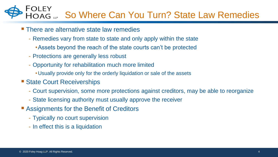### FOLEY HOAG LLP So Where Can You Turn? State Law Remedies

- **There are alternative state law remedies** 
	- Remedies vary from state to state and only apply within the state
		- •Assets beyond the reach of the state courts can't be protected
	- Protections are generally less robust
	- Opportunity for rehabilitation much more limited
		- Usually provide only for the orderly liquidation or sale of the assets
- **State Court Receiverships** 
	- Court supervision, some more protections against creditors, may be able to reorganize
	- State licensing authority must usually approve the receiver
- **Example 1 Assignments for the Benefit of Creditors** 
	- Typically no court supervision
	- In effect this is a liquidation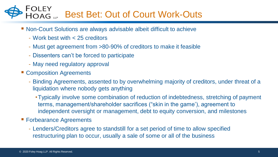#### FOLEY<br>HOAG Best Bet: Out of Court Work-Outs

- Non-Court Solutions are always advisable albeit difficult to achieve
	- Work best with < 25 creditors
	- Must get agreement from >80-90% of creditors to make it feasible
	- Dissenters can't be forced to participate
	- May need regulatory approval
- **EXCOMPOSITION Agreements** 
	- Binding Agreements, assented to by overwhelming majority of creditors, under threat of a liquidation where nobody gets anything
		- •Typically involve some combination of reduction of indebtedness, stretching of payment terms, management/shareholder sacrifices ("skin in the game'), agreement to independent oversight or management, debt to equity conversion, and milestones
- **Forbearance Agreements** 
	- Lenders/Creditors agree to standstill for a set period of time to allow specified restructuring plan to occur, usually a sale of some or all of the business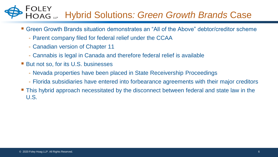#### FOLEY Hybrid Solutions*: Green Growth Brands* Case HOAG LLP

- Green Growth Brands situation demonstrates an "All of the Above" debtor/creditor scheme
	- Parent company filed for federal relief under the CCAA
	- Canadian version of Chapter 11
	- Cannabis is legal in Canada and therefore federal relief is available
- **But not so, for its U.S. businesses** 
	- Nevada properties have been placed in State Receivership Proceedings
	- Florida subsidiaries have entered into forbearance agreements with their major creditors
- This hybrid approach necessitated by the disconnect between federal and state law in the U.S.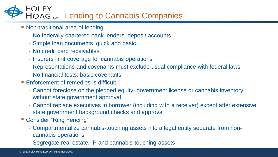## FOLEY HOAG Lending to Cannabis Companies

- **Non-traditional area of lending** 
	- No federally chartered bank lenders, deposit accounts
	- Simple loan documents, quick and basic
	- No credit card receivables
	- Insurers limit coverage for cannabis operations
	- Representations and covenants must exclude usual compliance with federal laws
	- No financial tests; basic covenants
- **Enforcement of remedies is difficult** 
	- Cannot foreclose on the pledged equity, government license or cannabis inventory without state government approval
	- Cannot replace executives in borrower (including with a receiver) except after extensive state government background checks and approval
- **E** Consider "Ring Fencing"
	- Compartmentalize cannabis-touching assets into a legal entity separate from noncannabis operations
	- Segregate real estate, IP and cannabis-touching assets